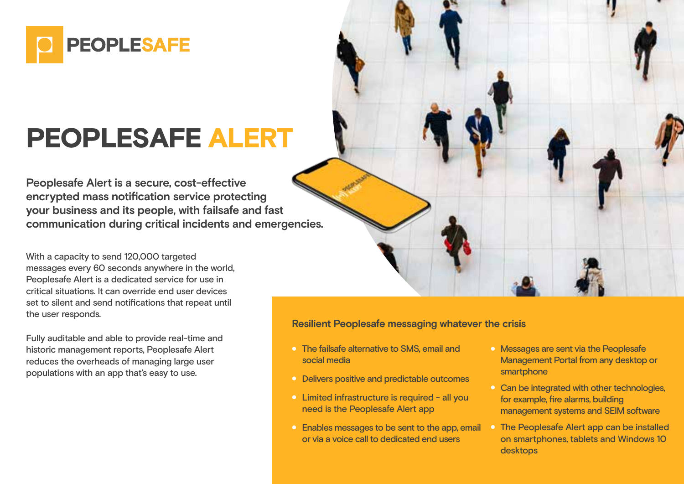

## PEOPLESAFE ALERT

**Peoplesafe Alert is a secure, cost-effective encrypted mass notification service protecting your business and its people, with failsafe and fast communication during critical incidents and emergencies.**

With a capacity to send 120,000 targeted messages every 60 seconds anywhere in the world, Peoplesafe Alert is a dedicated service for use in critical situations. It can override end user devices set to silent and send notifications that repeat until the user responds.

Fully auditable and able to provide real-time and historic management reports, Peoplesafe Alert reduces the overheads of managing large user populations with an app that's easy to use.

**Resilient Peoplesafe messaging whatever the crisis**

- The failsafe alternative to SMS, email and social media
- **•** Delivers positive and predictable outcomes
- Limited infrastructure is required all you need is the Peoplesafe Alert app
- **Enables messages to be sent to the app, email** or via a voice call to dedicated end users
- **Messages are sent via the Peoplesafe** Management Portal from any desktop or smartphone
- <sup>o</sup> Can be integrated with other technologies. for example, fire alarms, building management systems and SEIM software
- The Peoplesafe Alert app can be installed on smartphones, tablets and Windows 10 desktops